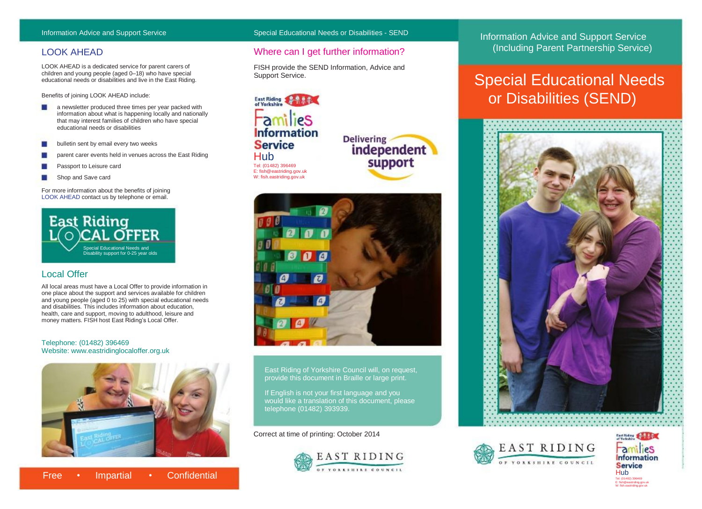# LOOK AHEAD

LOOK AHEAD is a dedicated service for parent carers of children and young people (aged 0–18) who have special educational needs or disabilities and live in the East Riding.

Benefits of joining LOOK AHEAD include:

- a newsletter produced three times per year packed with information about what is happening locally and nationally that may interest families of children who have special educational needs or disabilities
- bulletin sent by email every two weeks
- parent carer events held in venues across the East Riding
- Passport to Leisure card
- Shop and Save card

For more information about the benefits of joining LOOK AHEAD contact us by telephone or email.



## Local Offer

All local areas must have a Local Offer to provide information in one place about the support and services available for children and young people (aged 0 to 25) with special educational needs and disabilities. This includes information about education, health, care and support, moving to adulthood, leisure and money matters. FISH host East Riding's Local Offer.

### Telephone: (01482) 396469 Website: www.eastridinglocaloffer.org.uk



### Information Advice and Support Service Special Educational Needs or Disabilities - SEND

### Where can I get further information?

FISH provide the SEND Information, Advice and Support Service.

Hub Tel: (01482) 396469

East Riding

**Service** 





East Riding of Yorkshire Council will, on request, provide this document in Braille or large print.

If English is not your first language and you would like a translation of this document, please telephone (01482) 393939.

Correct at time of printing: October 2014



Information Advice and Support Service (Including Parent Partnership Service)

# Special Educational Needs or Disabilities (SEND)